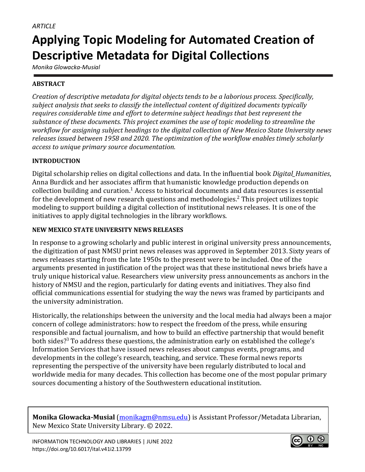# **Applying Topic Modeling for Automated Creation of Descriptive Metadata for Digital Collections**

*Monika Glowacka-Musial*

# **ABSTRACT**

*Creation of descriptive metadata for digital objects tends to be a laborious process. Specifically, subject analysis that seeks to classify the intellectual content of digitized documents typically requires considerable time and effort to determine subject headings that best represent the substance of these documents. This project examines the use of topic modeling to streamline the workflow for assigning subject headings to the digital collection of New Mexico State University news releases issued between 1958 and 2020. The optimization of the workflow enables timely scholarly access to unique primary source documentation.*

# **INTRODUCTION**

Digital scholarship relies on digital collections and data. In the influential book *Digital\_Humanities*, Anna Burdick and her associates affirm that humanistic knowledge production depends on collection building and curation.<sup>1</sup> Access to historical documents and data resources is essential for the development of new research questions and methodologies.<sup>2</sup> This project utilizes topic modeling to support building a digital collection of institutional news releases. It is one of the initiatives to apply digital technologies in the library workflows.

# **NEW MEXICO STATE UNIVERSITY NEWS RELEASES**

In response to a growing scholarly and public interest in original university press announcements, the digitization of past NMSU print news releases was approved in September 2013. Sixty years of news releases starting from the late 1950s to the present were to be included. One of the arguments presented in justification of the project was that these institutional news briefs have a truly unique historical value. Researchers view university press announcements as anchors in the history of NMSU and the region, particularly for dating events and initiatives. They also find official communications essential for studying the way the news was framed by participants and the university administration.

Historically, the relationships between the university and the local media had always been a major concern of college administrators: how to respect the freedom of the press, while ensuring responsible and factual journalism, and how to build an effective partnership that would benefit both sides?<sup>3</sup> To address these questions, the administration early on established the college's Information Services that have issued news releases about campus events, programs, and developments in the college's research, teaching, and service. These formal news reports representing the perspective of the university have been regularly distributed to local and worldwide media for many decades. This collection has become one of the most popular primary sources documenting a history of the Southwestern educational institution.

**Monika Glowacka-Musial** [\(monikagm@nmsu.edu\)](mailto:monikagm@nmsu.edu) is Assistant Professor/Metadata Librarian, New Mexico State University Library. © 2022.

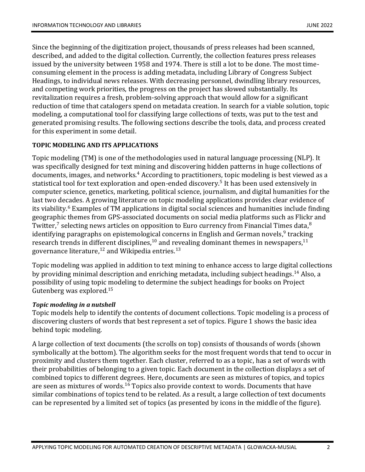Since the beginning of the digitization project, thousands of press releases had been scanned, described, and added to the digital collection. Currently, the collection features press releases issued by the university between 1958 and 1974. There is still a lot to be done. The most timeconsuming element in the process is adding metadata, including Library of Congress Subject Headings, to individual news releases. With decreasing personnel, dwindling library resources, and competing work priorities, the progress on the project has slowed substantially. Its revitalization requires a fresh, problem-solving approach that would allow for a significant reduction of time that catalogers spend on metadata creation. In search for a viable solution, topic modeling, a computational tool for classifying large collections of texts, was put to the test and generated promising results. The following sections describe the tools, data, and process created for this experiment in some detail.

#### **TOPIC MODELING AND ITS APPLICATIONS**

Topic modeling (TM) is one of the methodologies used in natural language processing (NLP). It was specifically designed for text mining and discovering hidden patterns in huge collections of documents, images, and networks.<sup>4</sup> According to practitioners, topic modeling is best viewed as a statistical tool for text exploration and open-ended discovery. 5 It has been used extensively in computer science, genetics, marketing, political science, journalism, and digital humanities for the last two decades. A growing literature on topic modeling applications provides clear evidence of its viability. <sup>6</sup> Examples of TM applications in digital social sciences and humanities include finding geographic themes from GPS-associated documents on social media platforms such as Flickr and Twitter,<sup>7</sup> selecting news articles on opposition to Euro currency from Financial Times data,<sup>8</sup> identifying paragraphs on epistemological concerns in English and German novels,<sup>9</sup> tracking research trends in different disciplines,<sup>10</sup> and revealing dominant themes in newspapers,<sup>11</sup> governance literature, $^{12}$  and Wikipedia entries. $^{13}$ 

Topic modeling was applied in addition to text mining to enhance access to large digital collections by providing minimal description and enriching metadata, including subject headings.<sup>14</sup> Also, a possibility of using topic modeling to determine the subject headings for books on Project Gutenberg was explored.<sup>15</sup>

#### *Topic modeling in a nutshell*

Topic models help to identify the contents of document collections. Topic modeling is a process of discovering clusters of words that best represent a set of topics. Figure 1 shows the basic idea behind topic modeling.

A large collection of text documents (the scrolls on top) consists of thousands of words (shown symbolically at the bottom). The algorithm seeks for the most frequent words that tend to occur in proximity and clusters them together. Each cluster, referred to as a topic, has a set of words with their probabilities of belonging to a given topic. Each document in the collection displays a set of combined topics to different degrees. Here, documents are seen as mixtures of topics, and topics are seen as mixtures of words.<sup>16</sup> Topics also provide context to words. Documents that have similar combinations of topics tend to be related. As a result, a large collection of text documents can be represented by a limited set of topics (as presented by icons in the middle of the figure).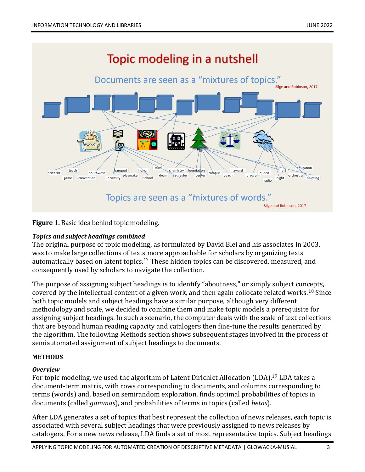

**Figure 1.** Basic idea behind topic modeling.

#### *Topics and subject headings combined*

The original purpose of topic modeling, as formulated by David Blei and his associates in 2003, was to make large collections of texts more approachable for scholars by organizing texts automatically based on latent topics.<sup>17</sup> These hidden topics can be discovered, measured, and consequently used by scholars to navigate the collection.

The purpose of assigning subject headings is to identify "aboutness," or simply subject concepts, covered by the intellectual content of a given work, and then again collocate related works.<sup>18</sup> Since both topic models and subject headings have a similar purpose, although very different methodology and scale, we decided to combine them and make topic models a prerequisite for assigning subject headings. In such a scenario, the computer deals with the scale of text collections that are beyond human reading capacity and catalogers then fine-tune the results generated by the algorithm. The following Methods section shows subsequent stages involved in the process of semiautomated assignment of subject headings to documents.

## **METHODS**

## *Overview*

For topic modeling, we used the algorithm of Latent Dirichlet Allocation (LDA).<sup>19</sup> LDA takes a document-term matrix, with rows corresponding to documents, and columns corresponding to terms (words) and, based on semirandom exploration, finds optimal probabilities of topics in documents (called *gammas*), and probabilities of terms in topics (called *betas*).

After LDA generates a set of topics that best represent the collection of news releases, each topic is associated with several subject headings that were previously assigned to news releases by catalogers. For a new news release, LDA finds a set of most representative topics. Subject headings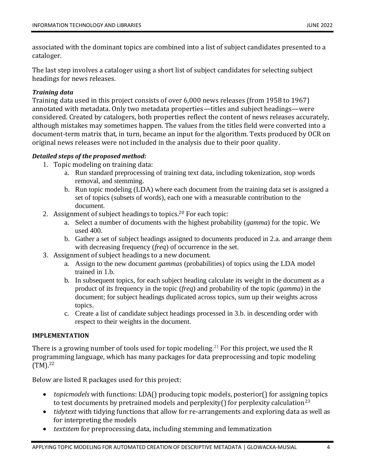associated with the dominant topics are combined into a list of subject candidates presented to a cataloger.

The last step involves a cataloger using a short list of subject candidates for selecting subject headings for news releases.

## *Training data*

Training data used in this project consists of over 6,000 news releases (from 1958 to 1967) annotated with metadata. Only two metadata properties—titles and subject headings—were considered. Created by catalogers, both properties reflect the content of news releases accurately, although mistakes may sometimes happen. The values from the titles field were converted into a document-term matrix that, in turn, became an input for the algorithm. Texts produced by OCR on original news releases were not included in the analysis due to their poor quality.

## *Detailed steps of the proposed method:*

- 1. Topic modeling on training data:
	- a. Run standard preprocessing of training text data, including tokenization, stop words removal, and stemming.
	- b. Run topic modeling (LDA) where each document from the training data set is assigned a set of topics (subsets of words), each one with a measurable contribution to the document.
- 2. Assignment of subject headings to topics.<sup>20</sup> For each topic:
	- a. Select a number of documents with the highest probability (*gamma*) for the topic. We used 400.
	- b. Gather a set of subject headings assigned to documents produced in 2.a. and arrange them with decreasing frequency (*freq*) of occurrence in the set.
- 3. Assignment of subject headings to a new document.
	- a. Assign to the new document *gammas* (probabilities) of topics using the LDA model trained in 1.b.
	- b. In subsequent topics, for each subject heading calculate its weight in the document as a product of its frequency in the topic (*freq*) and probability of the topic (*gamma*) in the document; for subject headings duplicated across topics, sum up their weights across topics.
	- c. Create a list of candidate subject headings processed in 3.b. in descending order with respect to their weights in the document.

## **IMPLEMENTATION**

There is a growing number of tools used for topic modeling.<sup>21</sup> For this project, we used the R programming language, which has many packages for data preprocessing and topic modeling (TM).<sup>22</sup>

Below are listed R packages used for this project:

- *topicmodels* with functions: LDA() producing topic models, posterior() for assigning topics to test documents by pretrained models and perplexity() for perplexity calculation<sup>23</sup>
- *tidytext* with tidying functions that allow for re-arrangements and exploring data as well as for interpreting the models
- *textstem* for preprocessing data, including stemming and lemmatization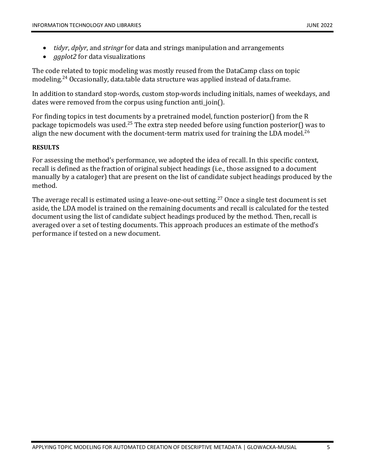- *tidyr*, *dplyr*, and *stringr* for data and strings manipulation and arrangements
- *ggplot2* for data visualizations

The code related to topic modeling was mostly reused from the DataCamp class on topic modeling.<sup>24</sup> Occasionally, data.table data structure was applied instead of data.frame.

In addition to standard stop-words, custom stop-words including initials, names of weekdays, and dates were removed from the corpus using function anti-join().

For finding topics in test documents by a pretrained model, function posterior() from the R package topicmodels was used.<sup>25</sup> The extra step needed before using function posterior() was to align the new document with the document-term matrix used for training the LDA model.<sup>26</sup>

## **RESULTS**

For assessing the method's performance, we adopted the idea of recall. In this specific context, recall is defined as the fraction of original subject headings (i.e., those assigned to a document manually by a cataloger) that are present on the list of candidate subject headings produced by the method.

The average recall is estimated using a leave-one-out setting.<sup>27</sup> Once a single test document is set aside, the LDA model is trained on the remaining documents and recall is calculated for the tested document using the list of candidate subject headings produced by the method. Then, recall is averaged over a set of testing documents. This approach produces an estimate of the method's performance if tested on a new document.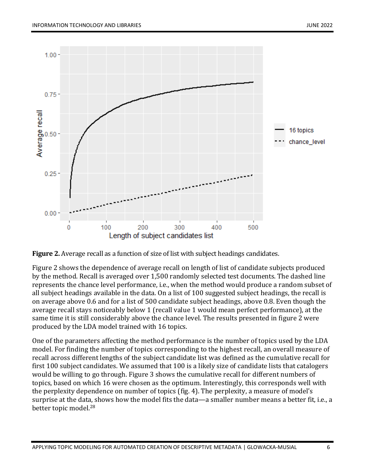

**Figure 2.** Average recall as a function of size of list with subject headings candidates.

Figure 2 shows the dependence of average recall on length of list of candidate subjects produced by the method. Recall is averaged over 1,500 randomly selected test documents. The dashed line represents the chance level performance, i.e., when the method would produce a random subset of all subject headings available in the data. On a list of 100 suggested subject headings, the recall is on average above 0.6 and for a list of 500 candidate subject headings, above 0.8. Even though the average recall stays noticeably below 1 (recall value 1 would mean perfect performance), at the same time it is still considerably above the chance level. The results presented in figure 2 were produced by the LDA model trained with 16 topics.

One of the parameters affecting the method performance is the number of topics used by the LDA model. For finding the number of topics corresponding to the highest recall, an overall measure of recall across different lengths of the subject candidate list was defined as the cumulative recall for first 100 subject candidates. We assumed that 100 is a likely size of candidate lists that catalogers would be willing to go through. Figure 3 shows the cumulative recall for different numbers of topics, based on which 16 were chosen as the optimum. Interestingly, this corresponds well with the perplexity dependence on number of topics (fig. 4). The perplexity, a measure of model's surprise at the data, shows how the model fits the data—a smaller number means a better fit, i.e., a better topic model.28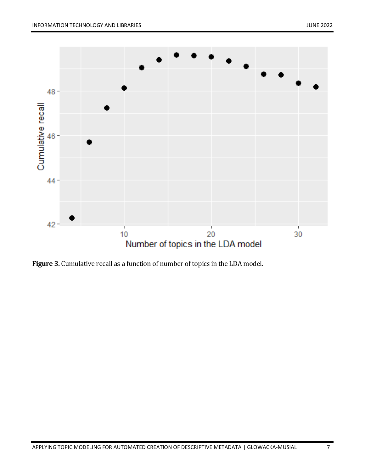

**Figure 3.** Cumulative recall as a function of number of topics in the LDA model.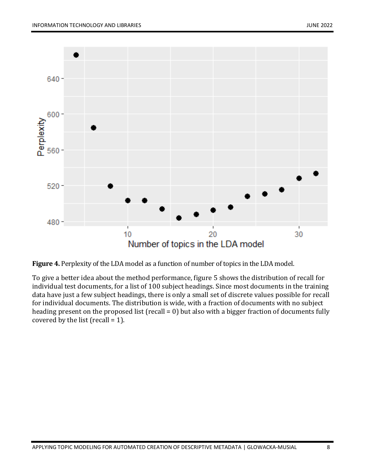![](_page_7_Figure_2.jpeg)

**Figure 4.** Perplexity of the LDA model as a function of number of topics in the LDA model.

To give a better idea about the method performance, figure 5 shows the distribution of recall for individual test documents, for a list of 100 subject headings. Since most documents in the training data have just a few subject headings, there is only a small set of discrete values possible for recall for individual documents. The distribution is wide, with a fraction of documents with no subject heading present on the proposed list (recall = 0) but also with a bigger fraction of documents fully covered by the list (recall  $= 1$ ).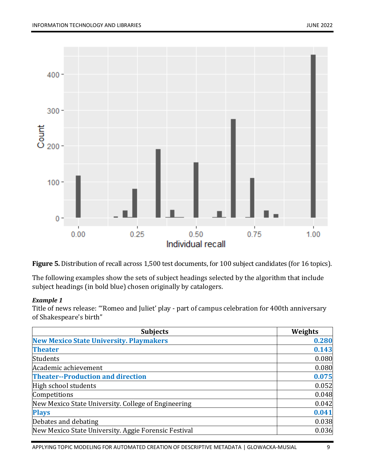![](_page_8_Figure_2.jpeg)

**Figure 5.** Distribution of recall across 1,500 test documents, for 100 subject candidates (for 16 topics).

The following examples show the sets of subject headings selected by the algorithm that include subject headings (in bold blue) chosen originally by catalogers.

#### *Example 1*

Title of news release: "'Romeo and Juliet' play - part of campus celebration for 400th anniversary of Shakespeare's birth"

| <b>Subjects</b>                                      | Weights |
|------------------------------------------------------|---------|
| <b>New Mexico State University. Playmakers</b>       | 0.280   |
| <b>Theater</b>                                       | 0.143   |
| Students                                             | 0.080   |
| Academic achievement                                 | 0.080   |
| <b>Theater--Production and direction</b>             | 0.075   |
| High school students                                 | 0.052   |
| Competitions                                         | 0.048   |
| New Mexico State University. College of Engineering  | 0.042   |
| <b>Plays</b>                                         | 0.041   |
| Debates and debating                                 | 0.038   |
| New Mexico State University. Aggie Forensic Festival | 0.036   |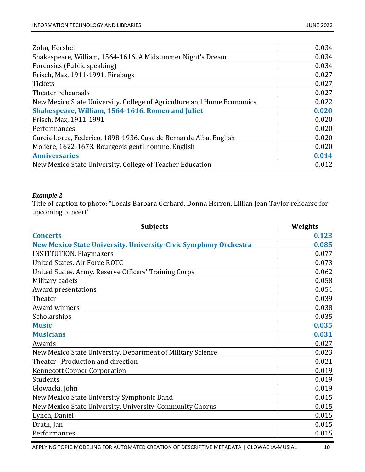| Zohn, Hershel                                                          | 0.034 |
|------------------------------------------------------------------------|-------|
| Shakespeare, William, 1564-1616. A Midsummer Night's Dream             | 0.034 |
| Forensics (Public speaking)                                            | 0.034 |
| Frisch, Max, 1911-1991. Firebugs                                       | 0.027 |
| <b>Tickets</b>                                                         | 0.027 |
| Theater rehearsals                                                     | 0.027 |
| New Mexico State University. College of Agriculture and Home Economics | 0.022 |
| Shakespeare, William, 1564-1616. Romeo and Juliet                      | 0.020 |
| Frisch, Max, 1911-1991                                                 | 0.020 |
| Performances                                                           | 0.020 |
| Garcia Lorca, Federico, 1898-1936. Casa de Bernarda Alba. English      | 0.020 |
| Molière, 1622-1673. Bourgeois gentilhomme. English                     | 0.020 |
| <b>Anniversaries</b>                                                   | 0.014 |
| New Mexico State University. College of Teacher Education              | 0.012 |

#### *Example 2*

Title of caption to photo: "Locals Barbara Gerhard, Donna Herron, Lillian Jean Taylor rehearse for upcoming concert"

| <b>Subjects</b>                                                         | Weights |
|-------------------------------------------------------------------------|---------|
| <b>Concerts</b>                                                         | 0.123   |
| <b>New Mexico State University. University-Civic Symphony Orchestra</b> | 0.085   |
| <b>INSTITUTION. Playmakers</b>                                          | 0.077   |
| United States. Air Force ROTC                                           | 0.073   |
| United States. Army. Reserve Officers' Training Corps                   | 0.062   |
| Military cadets                                                         | 0.058   |
| <b>Award presentations</b>                                              | 0.054   |
| Theater                                                                 | 0.039   |
| <b>Award winners</b>                                                    | 0.038   |
| Scholarships                                                            | 0.035   |
| <b>Music</b>                                                            | 0.035   |
| <b>Musicians</b>                                                        | 0.031   |
| Awards                                                                  | 0.027   |
| New Mexico State University. Department of Military Science             | 0.023   |
| Theater--Production and direction                                       | 0.021   |
| <b>Kennecott Copper Corporation</b>                                     | 0.019   |
| Students                                                                | 0.019   |
| Glowacki, John                                                          | 0.019   |
| New Mexico State University Symphonic Band                              | 0.015   |
| New Mexico State University. University-Community Chorus                | 0.015   |
| Lynch, Daniel                                                           | 0.015   |
| Drath, Jan                                                              | 0.015   |
| Performances                                                            | 0.015   |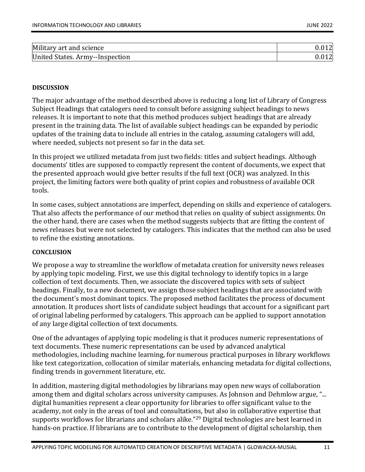| Military art and science        |  |
|---------------------------------|--|
| United States. Army--Inspection |  |

#### **DISCUSSION**

The major advantage of the method described above is reducing a long list of Library of Congress Subject Headings that catalogers need to consult before assigning subject headings to news releases. It is important to note that this method produces subject headings that are already present in the training data. The list of available subject headings can be expanded by periodic updates of the training data to include all entries in the catalog, assuming catalogers will add, where needed, subjects not present so far in the data set.

In this project we utilized metadata from just two fields: titles and subject headings. Although documents' titles are supposed to compactly represent the content of documents, we expect that the presented approach would give better results if the full text (OCR) was analyzed. In this project, the limiting factors were both quality of print copies and robustness of available OCR tools.

In some cases, subject annotations are imperfect, depending on skills and experience of catalogers. That also affects the performance of our method that relies on quality of subject assignments. On the other hand, there are cases when the method suggests subjects that are fitting the content of news releases but were not selected by catalogers. This indicates that the method can also be used to refine the existing annotations.

#### **CONCLUSION**

We propose a way to streamline the workflow of metadata creation for university news releases by applying topic modeling. First, we use this digital technology to identify topics in a large collection of text documents. Then, we associate the discovered topics with sets of subject headings. Finally, to a new document, we assign those subject headings that are associated with the document's most dominant topics. The proposed method facilitates the process of document annotation. It produces short lists of candidate subject headings that account for a significant part of original labeling performed by catalogers. This approach can be applied to support annotation of any large digital collection of text documents.

One of the advantages of applying topic modeling is that it produces numeric representations of text documents. These numeric representations can be used by advanced analytical methodologies, including machine learning, for numerous practical purposes in library workflows like text categorization, collocation of similar materials, enhancing metadata for digital collections, finding trends in government literature, etc.

In addition, mastering digital methodologies by librarians may open new ways of collaboration among them and digital scholars across university campuses. As Johnson and Dehmlow argue, "... digital humanities represent a clear opportunity for libraries to offer significant value to the academy, not only in the areas of tool and consultations, but also in collaborative expertise that supports workflows for librarians and scholars alike."<sup>29</sup> Digital technologies are best learned in hands-on practice. If librarians are to contribute to the development of digital scholarship, then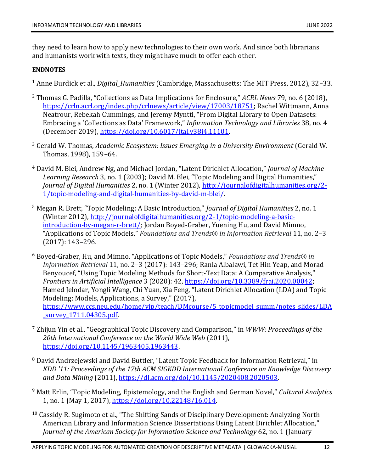they need to learn how to apply new technologies to their own work. And since both librarians and humanists work with texts, they might have much to offer each other.

#### **ENDNOTES**

<sup>1</sup> Anne Burdick et al., *Digital\_Humanities* (Cambridge, Massachusetts: The MIT Press, 2012), 32–33.

- <sup>2</sup> Thomas G. Padilla, "Collections as Data Implications for Enclosure," *ACRL News* 79, no. 6 (2018), [https://crln.acrl.org/index.php/crlnews/article/view/17003/18751;](https://crln.acrl.org/index.php/crlnews/article/view/17003/18751) Rachel Wittmann, Anna Neatrour, Rebekah Cummings, and Jeremy Myntti, "From Digital Library to Open Datasets: Embracing a 'Collections as Data' Framework," *Information Technology and Libraries* 38, no. 4 (December 2019), [https://doi.org/10.6017/ital.v38i4.11101.](https://doi.org/10.6017/ital.v38i4.11101)
- <sup>3</sup> Gerald W. Thomas, *Academic Ecosystem: Issues Emerging in a University Environment* (Gerald W. Thomas, 1998), 159–64.
- <sup>4</sup> David M. Blei, Andrew Ng, and Michael Jordan, "Latent Dirichlet Allocation," *Journal of Machine Learning Research* 3, no. 1 (2003); David M. Blei, "Topic Modeling and Digital Humanities," *Journal of Digital Humanities* 2, no. 1 (Winter 2012), [http://journalofdigitalhumanities.org/2-](http://journalofdigitalhumanities.org/2-1/topic-modeling-and-digital-humanities-by-david-m-blei/) [1/topic-modeling-and-digital-humanities-by-david-m-blei/.](http://journalofdigitalhumanities.org/2-1/topic-modeling-and-digital-humanities-by-david-m-blei/)
- <sup>5</sup> Megan R. Brett, "Topic Modeling: A Basic Introduction," *Journal of Digital Humanities* 2, no. 1 (Winter 2012), [http://journalofdigitalhumanities.org/2-1/topic-modeling-a-basic](http://journalofdigitalhumanities.org/2-1/topic-modeling-a-basic-introduction-by-megan-r-brett/)[introduction-by-megan-r-brett/;](http://journalofdigitalhumanities.org/2-1/topic-modeling-a-basic-introduction-by-megan-r-brett/) Jordan Boyed-Graber, Yuening Hu, and David Mimno, "Applications of Topic Models," *Foundations and Trends® in Information Retrieval* 11, no. 2–3 (2017): 143–296.
- <sup>6</sup> Boyed-Graber, Hu, and Mimno, "Applications of Topic Models," *Foundations and Trends® in Information Retrieval* 11, no. 2–3 (2017): 143–296; Rania Albalawi, Tet Hin Yeap, and Morad Benyoucef, "Using Topic Modeling Methods for Short-Text Data: A Comparative Analysis," *Frontiers in Artificial Intelligence* 3 (2020): 42, [https://doi.org/10.3389/frai.2020.00042;](https://doi.org/10.3389/frai.2020.00042) Hamed Jelodar, Yongli Wang, Chi Yuan, Xia Feng, "Latent Dirichlet Allocation (LDA) and Topic Modeling: Models, Applications, a Survey," (2017), [https://www.ccs.neu.edu/home/vip/teach/DMcourse/5\\_topicmodel\\_summ/notes\\_slides/LDA](https://www.ccs.neu.edu/home/vip/teach/DMcourse/5_topicmodel_summ/notes_slides/LDA_survey_1711.04305.pdf) [\\_survey\\_1711.04305.pdf.](https://www.ccs.neu.edu/home/vip/teach/DMcourse/5_topicmodel_summ/notes_slides/LDA_survey_1711.04305.pdf)
- <sup>7</sup> Zhijun Yin et al., "Geographical Topic Discovery and Comparison," in *WWW: Proceedings of the 20th International Conference on the World Wide Web* (2011), [https://doi.org/10.1145/1963405.1963443.](https://doi.org/10.1145/1963405.1963443)
- <sup>8</sup> David Andrzejewski and David Buttler, "Latent Topic Feedback for Information Retrieval," in *KDD '11: Proceedings of the 17th ACM SIGKDD International Conference on Knowledge Discovery and Data Mining* (2011), [https://dl.acm.org/doi/10.1145/2020408.2020503.](https://dl.acm.org/doi/10.1145/2020408.2020503)
- <sup>9</sup> Matt Erlin, "Topic Modeling, Epistemology, and the English and German Novel," *Cultural Analytics* 1, no. 1 (May 1, 2017), [https://doi.org/10.22148/16.014.](https://doi.org/10.22148/16.014)
- $10$  Cassidy R. Sugimoto et al., "The Shifting Sands of Disciplinary Development: Analyzing North American Library and Information Science Dissertations Using Latent Dirichlet Allocation," *Journal of the American Society for Information Science and Technology* 62, no. 1 (January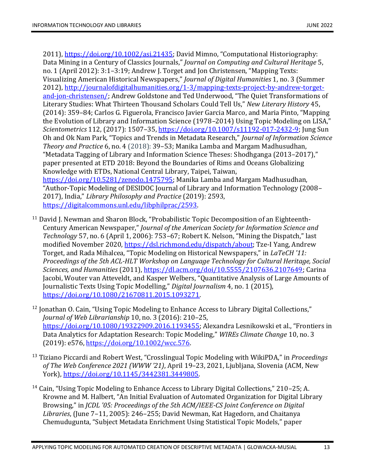2011), [https://doi.org/10.1002/asi.21435;](https://doi.org/10.1002/asi.21435) David Mimno, "Computational Historiography: Data Mining in a Century of Classics Journals," *Journal on Computing and Cultural Heritage* 5, no. 1 (April 2012): 3:1–3:19; Andrew J. Torget and Jon Christensen, "Mapping Texts: Visualizing American Historical Newspapers," *Journal of Digital Humanities* 1, no. 3 (Summer 2012), [http://journalofdigitalhumanities.org/1-3/mapping-texts-project-by-andrew-torget](http://journalofdigitalhumanities.org/1-3/mapping-texts-project-by-andrew-torget-and-jon-christensen/)[and-jon-christensen/;](http://journalofdigitalhumanities.org/1-3/mapping-texts-project-by-andrew-torget-and-jon-christensen/) Andrew Goldstone and Ted Underwood, "The Quiet Transformations of Literary Studies: What Thirteen Thousand Scholars Could Tell Us," *New Literary History* 45, (2014): 359–84; Carlos G. Figuerola, Francisco Javier Garcia Marco, and Maria Pinto, "Mapping the Evolution of Library and Information Science (1978–2014) Using Topic Modeling on LISA," *Scientometrics* 112, (2017): 1507–35[, https://doi.org/10.1007/s11192-017-2432-9;](https://doi.org/10.1007/s11192-017-2432-9) Jung Sun Oh and Ok Nam Park, "Topics and Trends in Metadata Research," *Journal of Information Science Theory and Practice* 6, no. 4 (2018): 39–53; Manika Lamba and Margam Madhusudhan, "Metadata Tagging of Library and Information Science Theses: Shodhganga (2013–2017)," paper presented at ETD 2018: Beyond the Boundaries of Rims and Oceans Globalizing Knowledge with ETDs, National Central Library, Taipei, Taiwan, [https://doi.org/10.5281/zenodo.1475795;](https://doi.org/10.5281/zenodo.1475795) Manika Lamba and Margam Madhusudhan, "Author-Topic Modeling of DESIDOC Journal of Library and Information Technology (2008– 2017), India," *Library Philosophy and Practice* (2019): 2593, [https://digitalcommons.unl.edu/libphilprac/2593.](https://digitalcommons.unl.edu/libphilprac/2593)

- <sup>11</sup> David J. Newman and Sharon Block, "Probabilistic Topic Decomposition of an Eighteenth-Century American Newspaper," *Journal of the American Society for Information Science and Technology* 57, no. 6 (April 1, 2006): 753–67; Robert K. Nelson, "Mining the Dispatch," last modified November 2020[, https://dsl.richmond.edu/dispatch/about;](https://dsl.richmond.edu/dispatch/about) Tze-I Yang, Andrew Torget, and Rada Mihalcea, "Topic Modeling on Historical Newspapers," in *LaTeCH '11: Proceedings of the 5th ACL-HLT Workshop on Language Technology for Cultural Heritage, Social Sciences, and Humanities* (2011), [https://dl.acm.org/doi/10.5555/2107636.2107649;](https://dl.acm.org/doi/10.5555/2107636.2107649) Carina Jacobi, Wouter van Atteveldt, and Kasper Welbers, "Quantitative Analysis of Large Amounts of Journalistic Texts Using Topic Modelling," *Digital Journalism* 4, no. 1 (2015), [https://doi.org/10.1080/21670811.2015.1093271.](https://doi.org/10.1080/21670811.2015.1093271)
- <sup>12</sup> Jonathan O. Cain, "Using Topic Modeling to Enhance Access to Library Digital Collections," *Journal of Web Librarianship* 10, no. 3 (2016): 210–25, [https://doi.org/10.1080/19322909.2016.1193455;](https://doi.org/10.1080/19322909.2016.1193455) Alexandra Lesnikowski et al., "Frontiers in Data Analytics for Adaptation Research: Topic Modeling," *WIREs Climate Change* 10, no. 3 (2019): e576, [https://doi.org/10.1002/wcc.576.](https://doi.org/10.1002/wcc.576)
- <sup>13</sup> Tiziano Piccardi and Robert West, "Crosslingual Topic Modeling with WikiPDA," in *Proceedings of The Web Conference 2021 (WWW '21)*, April 19–23, 2021, Ljubljana, Slovenia (ACM, New York), [https://doi.org/10.1145/3442381.3449805.](https://doi.org/10.1145/3442381.3449805)
- <sup>14</sup> Cain, "Using Topic Modeling to Enhance Access to Library Digital Collections," 210–25; A. Krowne and M. Halbert, "An Initial Evaluation of Automated Organization for Digital Library Browsing," in *JCDL '05: Proceedings of the 5th ACM/IEEE-CS Joint Conference on Digital Libraries*, (June 7–11, 2005): 246–255; David Newman, Kat Hagedorn, and Chaitanya Chemudugunta, "Subject Metadata Enrichment Using Statistical Topic Models," paper